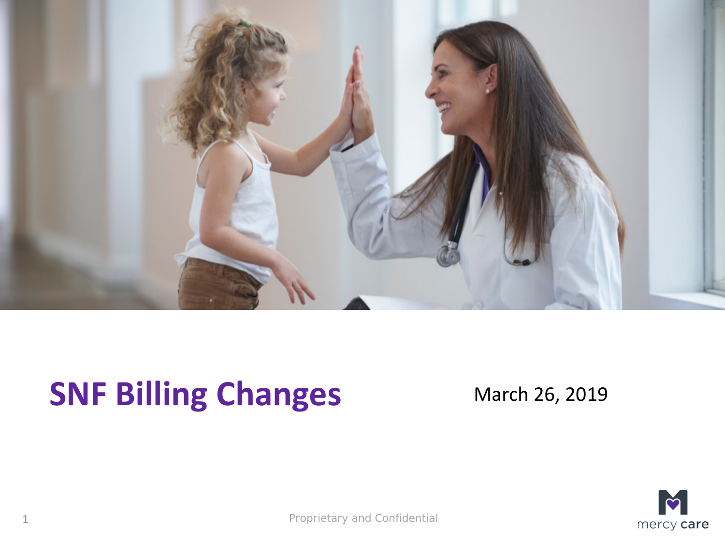

## **SNF Billing Changes** March 26, 2019



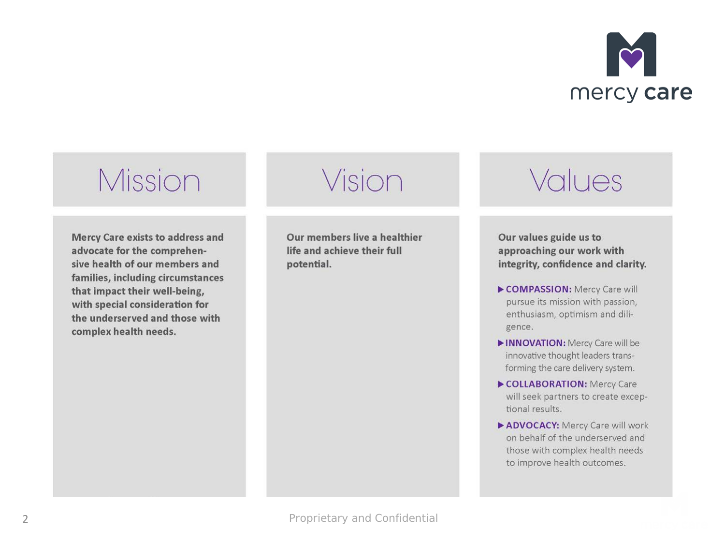

## Mission

**Mercy Care exists to address and** advocate for the comprehensive health of our members and families, including circumstances that impact their well-being, with special consideration for the underserved and those with complex health needs.

Vision

Our members live a healthier life and achieve their full potential.

## Values

Our values guide us to approaching our work with integrity, confidence and clarity.

- COMPASSION: Mercy Care will pursue its mission with passion, enthusiasm, optimism and diligence.
- INNOVATION: Mercy Care will be innovative thought leaders transforming the care delivery system.
- COLLABORATION: Mercy Care will seek partners to create exceptional results.
- ADVOCACY: Mercy Care will work on behalf of the underserved and those with complex health needs to improve health outcomes.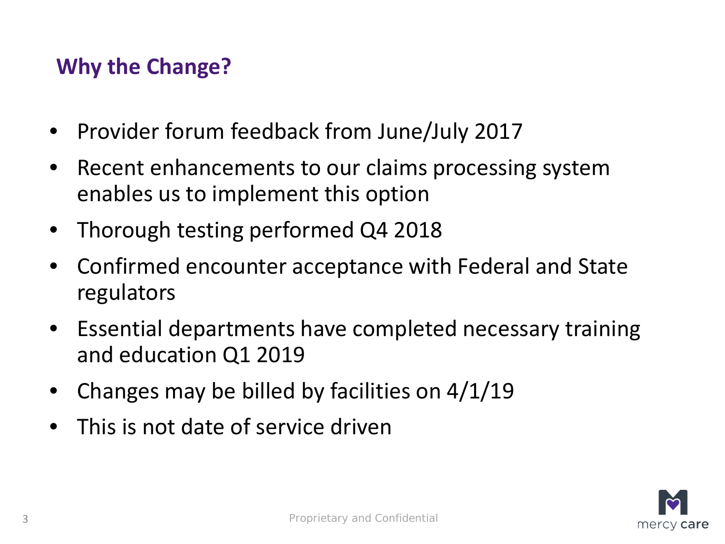#### **Why the Change?**

- Provider forum feedback from June/July 2017
- Recent enhancements to our claims processing system enables us to implement this option
- Thorough testing performed Q4 2018
- Confirmed encounter acceptance with Federal and State regulators
- Essential departments have completed necessary training and education Q1 2019
- Changes may be billed by facilities on  $4/1/19$
- This is not date of service driven

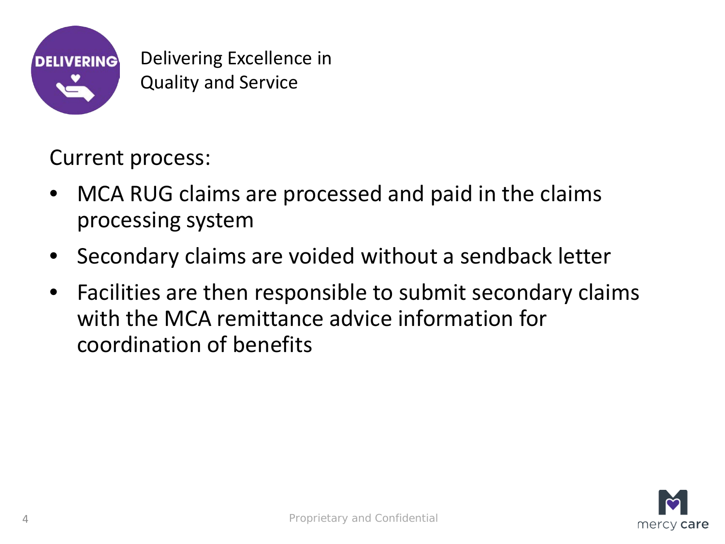

Delivering Excellence in Quality and Service

Current process:

- MCA RUG claims are processed and paid in the claims processing system
- Secondary claims are voided without a sendback letter
- Facilities are then responsible to submit secondary claims with the MCA remittance advice information for coordination of benefits

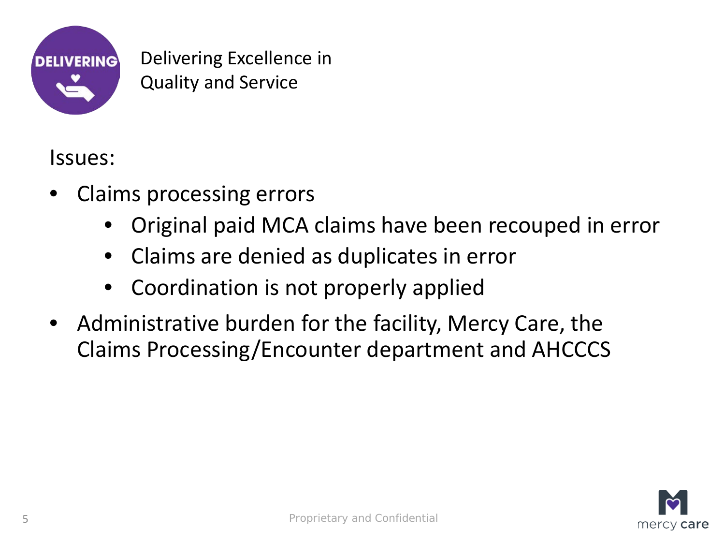

Delivering Excellence in Quality and Service

Issues:

- Claims processing errors
	- Original paid MCA claims have been recouped in error
	- Claims are denied as duplicates in error
	- Coordination is not properly applied
- Administrative burden for the facility, Mercy Care, the Claims Processing/Encounter department and AHCCCS

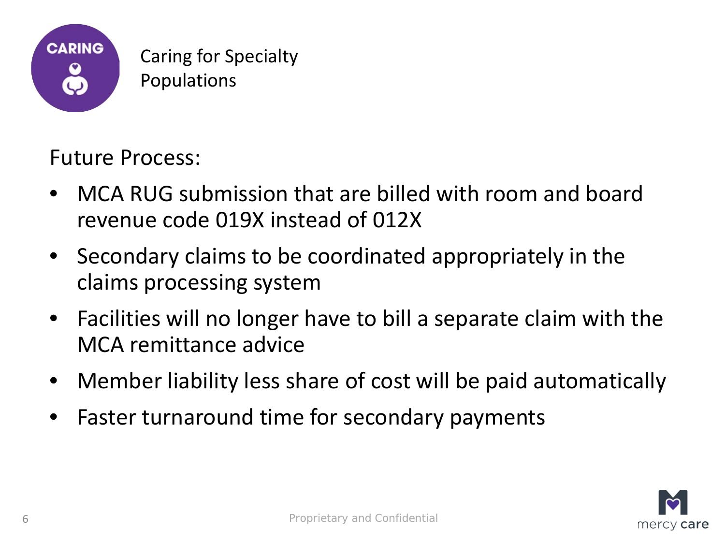

Future Process:

- MCA RUG submission that are billed with room and board revenue code 019X instead of 012X
- Secondary claims to be coordinated appropriately in the claims processing system
- Facilities will no longer have to bill a separate claim with the MCA remittance advice
- Member liability less share of cost will be paid automatically
- Faster turnaround time for secondary payments

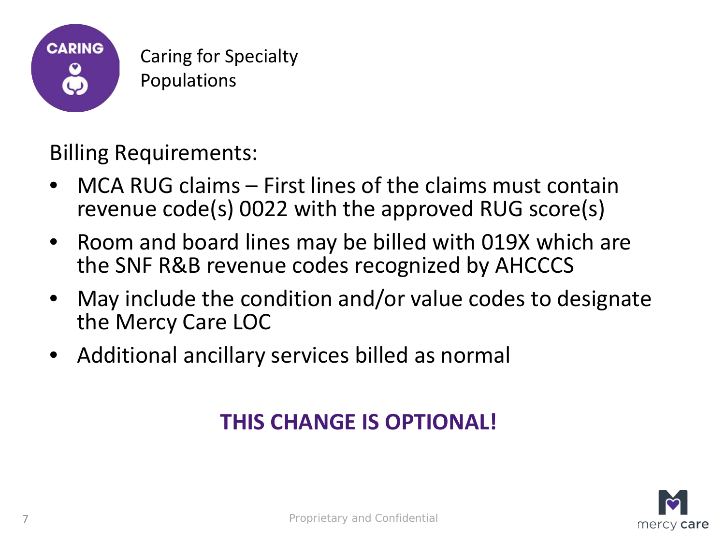

#### Billing Requirements:

- MCA RUG claims First lines of the claims must contain revenue code(s) 0022 with the approved RUG score(s)
- Room and board lines may be billed with 019X which are the SNF R&B revenue codes recognized by AHCCCS
- May include the condition and/or value codes to designate the Mercy Care LOC
- Additional ancillary services billed as normal

#### **THIS CHANGE IS OPTIONAL!**

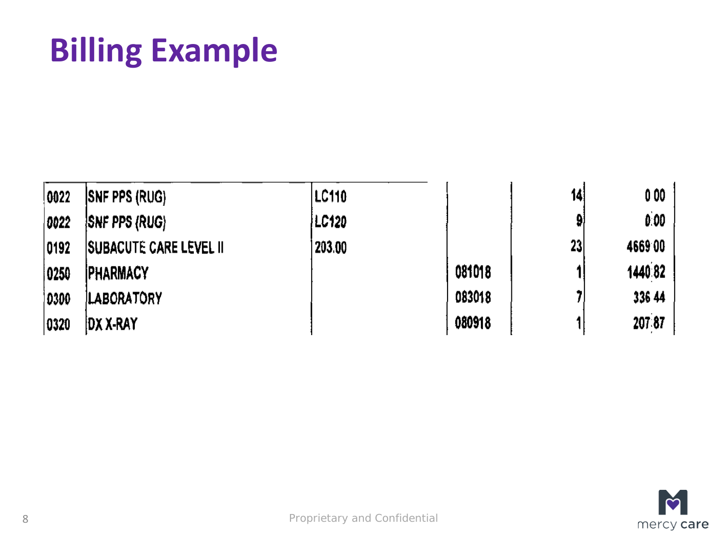# **Billing Example**

| $ 0022\rangle$ | <b>SNF PPS (RUG)</b>           | <b>ILC110</b> |        | 14 | 000     |
|----------------|--------------------------------|---------------|--------|----|---------|
| 0022           | <b>ISNF PPS (RUG)</b>          | LC120         |        | 9  | 0.00    |
| 0192           | <b>ISUBACUTE CARE LEVEL II</b> | 203.00        |        | 23 | 466900  |
| 0250           | <b>IPHARMACY</b>               |               | 081018 |    | 1440 82 |
| 0300           | <b>LABORATORY</b>              |               | 083018 |    | 336 44  |
| 0320           | DX X-RAY                       |               | 080918 |    | 207:87  |